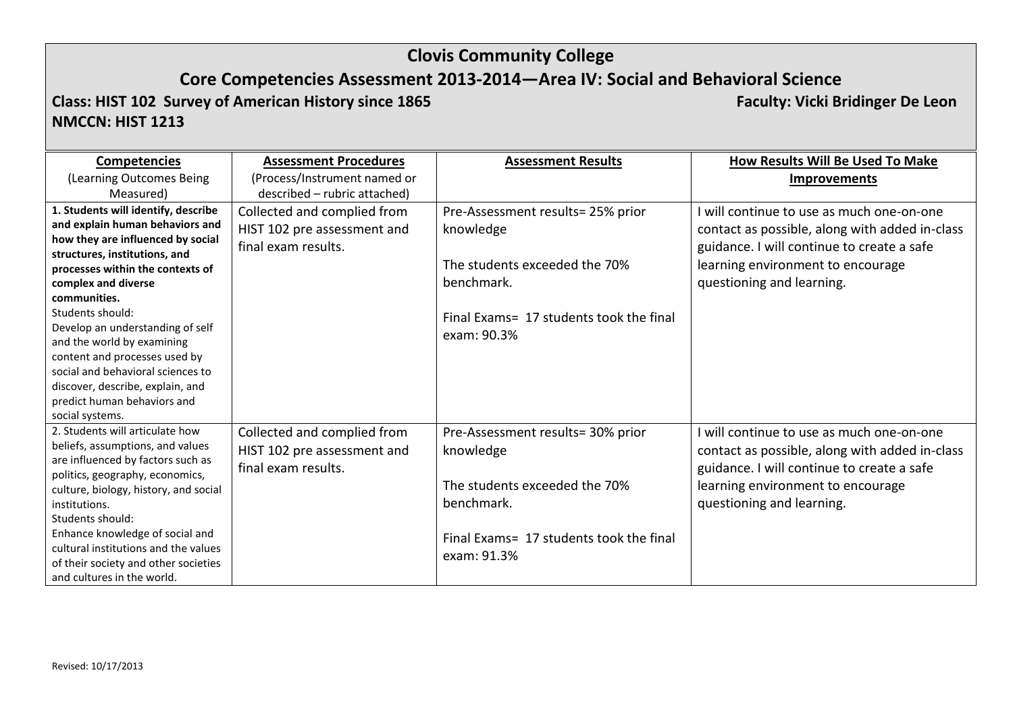## **Clovis Community College**

## **Core Competencies Assessment 2013-2014—Area IV: Social and Behavioral Science**

## **Class: HIST 102 Survey of American History since 1865 Faculty: Vicki Bridinger De Leon NMCCN: HIST 1213**

| <b>Competencies</b>                                                     | <b>Assessment Procedures</b> | <b>Assessment Results</b>               | How Results Will Be Used To Make               |
|-------------------------------------------------------------------------|------------------------------|-----------------------------------------|------------------------------------------------|
| (Learning Outcomes Being                                                | (Process/Instrument named or |                                         | <b>Improvements</b>                            |
| Measured)                                                               | described - rubric attached) |                                         |                                                |
| 1. Students will identify, describe                                     | Collected and complied from  | Pre-Assessment results= 25% prior       | will continue to use as much one-on-one        |
| and explain human behaviors and                                         | HIST 102 pre assessment and  | knowledge                               | contact as possible, along with added in-class |
| how they are influenced by social                                       | final exam results.          |                                         | guidance. I will continue to create a safe     |
| structures, institutions, and                                           |                              | The students exceeded the 70%           | learning environment to encourage              |
| processes within the contexts of                                        |                              | benchmark.                              |                                                |
| complex and diverse                                                     |                              |                                         | questioning and learning.                      |
| communities.<br>Students should:                                        |                              |                                         |                                                |
| Develop an understanding of self                                        |                              | Final Exams= 17 students took the final |                                                |
| and the world by examining                                              |                              | exam: 90.3%                             |                                                |
| content and processes used by                                           |                              |                                         |                                                |
| social and behavioral sciences to                                       |                              |                                         |                                                |
| discover, describe, explain, and                                        |                              |                                         |                                                |
| predict human behaviors and                                             |                              |                                         |                                                |
| social systems.                                                         |                              |                                         |                                                |
| 2. Students will articulate how                                         | Collected and complied from  | Pre-Assessment results= 30% prior       | will continue to use as much one-on-one        |
| beliefs, assumptions, and values                                        | HIST 102 pre assessment and  | knowledge                               | contact as possible, along with added in-class |
| are influenced by factors such as                                       | final exam results.          |                                         | guidance. I will continue to create a safe     |
| politics, geography, economics,                                         |                              | The students exceeded the 70%           | learning environment to encourage              |
| culture, biology, history, and social                                   |                              |                                         |                                                |
| institutions.                                                           |                              | benchmark.                              | questioning and learning.                      |
| Students should:                                                        |                              |                                         |                                                |
| Enhance knowledge of social and<br>cultural institutions and the values |                              | Final Exams= 17 students took the final |                                                |
| of their society and other societies                                    |                              | exam: 91.3%                             |                                                |
| and cultures in the world.                                              |                              |                                         |                                                |
|                                                                         |                              |                                         |                                                |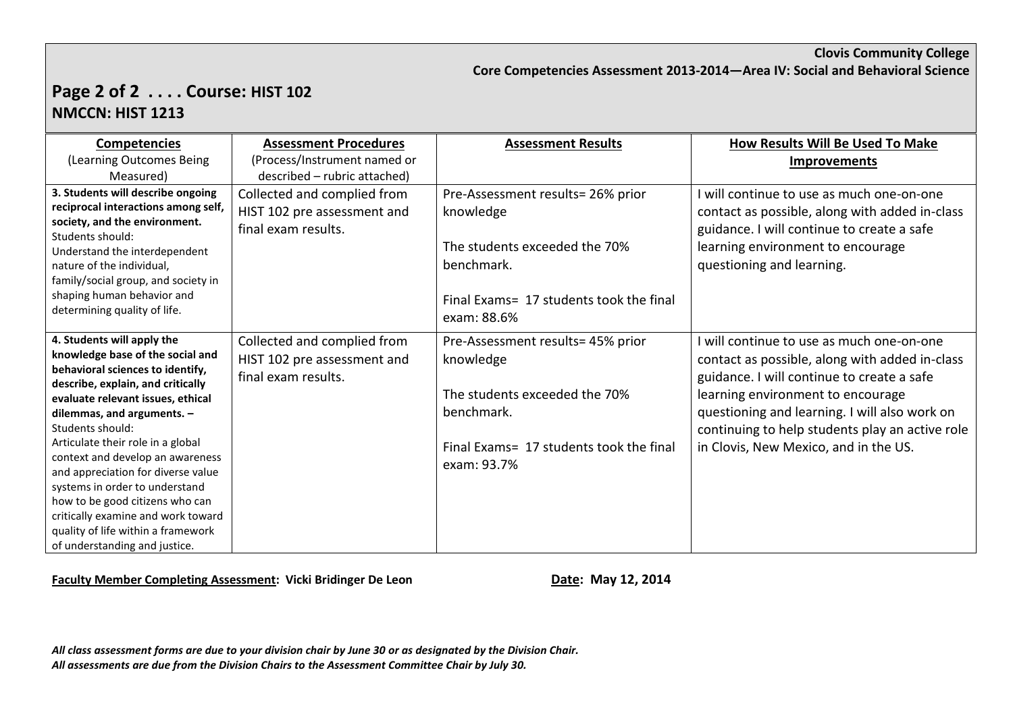## **Page 2 of 2 . . . . Course: HIST 102 NMCCN: HIST 1213**

| <b>Competencies</b>                                                                                                                                                                                                                                                                                                                                                                                                                                                                                                             | <b>Assessment Procedures</b>                                                      | <b>Assessment Results</b>                                                                                                                               | How Results Will Be Used To Make                                                                                                                                                                                                                                                                                            |
|---------------------------------------------------------------------------------------------------------------------------------------------------------------------------------------------------------------------------------------------------------------------------------------------------------------------------------------------------------------------------------------------------------------------------------------------------------------------------------------------------------------------------------|-----------------------------------------------------------------------------------|---------------------------------------------------------------------------------------------------------------------------------------------------------|-----------------------------------------------------------------------------------------------------------------------------------------------------------------------------------------------------------------------------------------------------------------------------------------------------------------------------|
| (Learning Outcomes Being                                                                                                                                                                                                                                                                                                                                                                                                                                                                                                        | (Process/Instrument named or                                                      |                                                                                                                                                         | <b>Improvements</b>                                                                                                                                                                                                                                                                                                         |
| Measured)                                                                                                                                                                                                                                                                                                                                                                                                                                                                                                                       | described - rubric attached)                                                      |                                                                                                                                                         |                                                                                                                                                                                                                                                                                                                             |
| 3. Students will describe ongoing<br>reciprocal interactions among self,<br>society, and the environment.<br>Students should:<br>Understand the interdependent<br>nature of the individual,<br>family/social group, and society in<br>shaping human behavior and<br>determining quality of life.                                                                                                                                                                                                                                | Collected and complied from<br>HIST 102 pre assessment and<br>final exam results. | Pre-Assessment results= 26% prior<br>knowledge<br>The students exceeded the 70%<br>benchmark.<br>Final Exams= 17 students took the final<br>exam: 88.6% | I will continue to use as much one-on-one<br>contact as possible, along with added in-class<br>guidance. I will continue to create a safe<br>learning environment to encourage<br>questioning and learning.                                                                                                                 |
| 4. Students will apply the<br>knowledge base of the social and<br>behavioral sciences to identify,<br>describe, explain, and critically<br>evaluate relevant issues, ethical<br>dilemmas, and arguments. -<br>Students should:<br>Articulate their role in a global<br>context and develop an awareness<br>and appreciation for diverse value<br>systems in order to understand<br>how to be good citizens who can<br>critically examine and work toward<br>quality of life within a framework<br>of understanding and justice. | Collected and complied from<br>HIST 102 pre assessment and<br>final exam results. | Pre-Assessment results= 45% prior<br>knowledge<br>The students exceeded the 70%<br>benchmark.<br>Final Exams= 17 students took the final<br>exam: 93.7% | I will continue to use as much one-on-one<br>contact as possible, along with added in-class<br>guidance. I will continue to create a safe<br>learning environment to encourage<br>questioning and learning. I will also work on<br>continuing to help students play an active role<br>in Clovis, New Mexico, and in the US. |

**Faculty Member Completing Assessment: Vicki Bridinger De Leon Date: May 12, 2014** 

*All class assessment forms are due to your division chair by June 30 or as designated by the Division Chair. All assessments are due from the Division Chairs to the Assessment Committee Chair by July 30.*